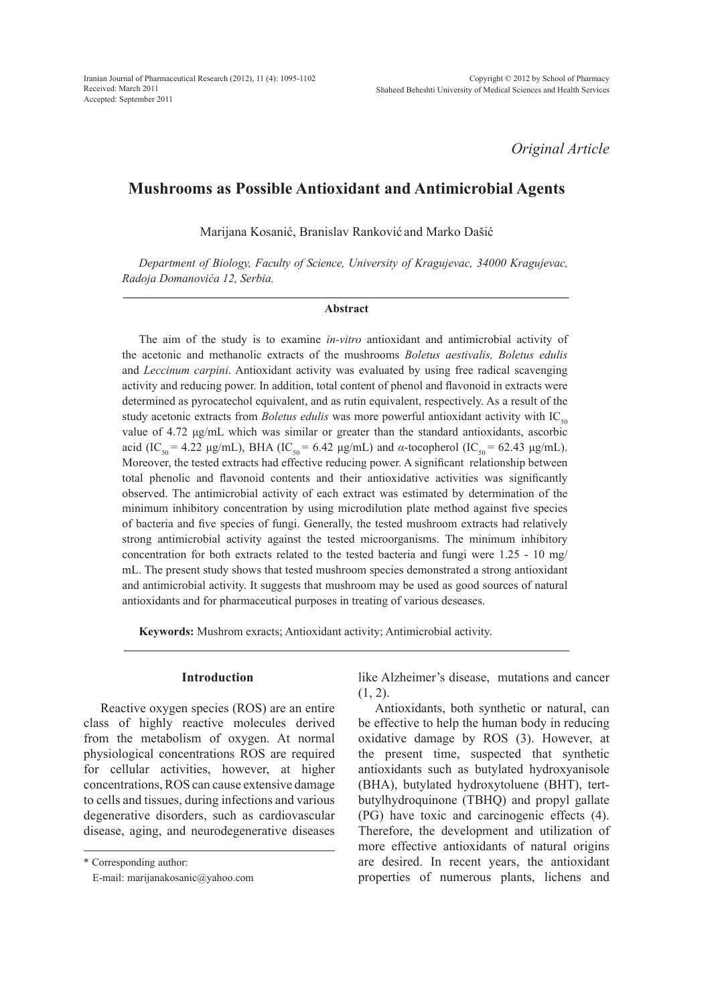*Original Article*

# **Mushrooms as Possible Antioxidant and Antimicrobial Agents**

Marijana Kosanić, Branislav Ranković and Marko Dašić

*Department of Biology, Faculty of Science, University of Kragujevac, 34000 Kragujevac, Radoja Domanovića 12, Serbia.*

#### **Abstract**

The aim of the study is to examine *in-vitro* antioxidant and antimicrobial activity of the acetonic and methanolic extracts of the mushrooms *Boletus aestivalis, Boletus edulis*  and *Leccinum carpini*. Antioxidant activity was evaluated by using free radical scavenging activity and reducing power. In addition, total content of phenol and flavonoid in extracts were determined as pyrocatechol equivalent, and as rutin equivalent, respectively. As a result of the study acetonic extracts from *Boletus edulis* was more powerful antioxidant activity with  $IC_{50}$ value of 4.72 μg/mL which was similar or greater than the standard antioxidants, ascorbic acid (IC<sub>50</sub> = 4.22 μg/mL), BHA (IC<sub>50</sub> = 6.42 μg/mL) and *α*-tocopherol (IC<sub>50</sub> = 62.43 μg/mL). Moreover, the tested extracts had effective reducing power. A significant relationship between total phenolic and flavonoid contents and their antioxidative activities was significantly observed. The antimicrobial activity of each extract was estimated by determination of the minimum inhibitory concentration by using microdilution plate method against five species of bacteria and five species of fungi. Generally, the tested mushroom extracts had relatively strong antimicrobial activity against the tested microorganisms. The minimum inhibitory concentration for both extracts related to the tested bacteria and fungi were 1.25 - 10 mg/ mL. The present study shows that tested mushroom species demonstrated a strong antioxidant and antimicrobial activity. It suggests that mushroom may be used as good sources of natural antioxidants and for pharmaceutical purposes in treating of various deseases.

**Keywords:** Mushrom exracts; Antioxidant activity; Antimicrobial activity.

## **Introduction**

Reactive oxygen species (ROS) are an entire class of highly reactive molecules derived from the metabolism of oxygen. At normal physiological concentrations ROS are required for cellular activities, however, at higher concentrations, ROS can cause extensive damage to cells and tissues, during infections and various degenerative disorders, such as cardiovascular disease, aging, and neurodegenerative diseases

\* Corresponding author:

like Alzheimer's disease, mutations and cancer  $(1, 2)$ .

Antioxidants, both synthetic or natural, can be effective to help the human body in reducing oxidative damage by ROS (3). However, at the present time, suspected that synthetic antioxidants such as butylated hydroxyanisole (BHA), butylated hydroxytoluene (BHT), tertbutylhydroquinone (TBHQ) and propyl gallate (PG) have toxic and carcinogenic effects (4). Therefore, the development and utilization of more effective antioxidants of natural origins are desired. In recent years, the antioxidant properties of numerous plants, lichens and

E-mail: marijanakosanic@yahoo.com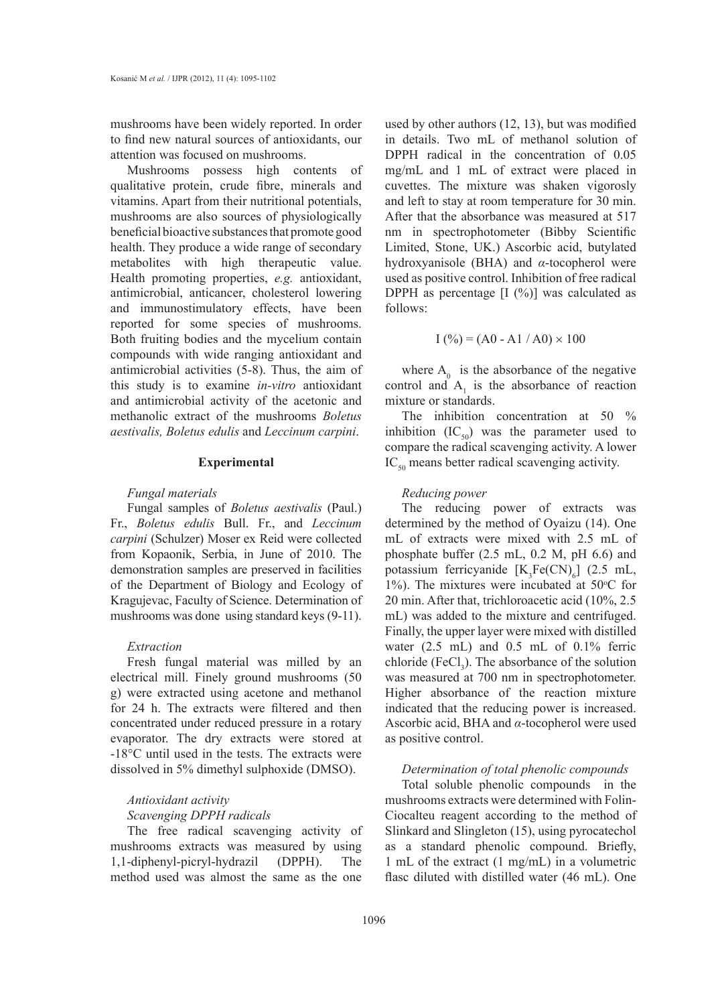mushrooms have been widely reported. In order to find new natural sources of antioxidants, our attention was focused on mushrooms.

Mushrooms possess high contents of qualitative protein, crude fibre, minerals and vitamins. Apart from their nutritional potentials, mushrooms are also sources of physiologically beneficial bioactive substances that promote good health. They produce a wide range of secondary metabolites with high therapeutic value. Health promoting properties, *e.g.* antioxidant, antimicrobial, anticancer, cholesterol lowering and immunostimulatory effects, have been reported for some species of mushrooms. Both fruiting bodies and the mycelium contain compounds with wide ranging antioxidant and antimicrobial activities (5-8). Thus, the aim of this study is to examine *in-vitro* antioxidant and antimicrobial activity of the acetonic and methanolic extract of the mushrooms *Boletus aestivalis, Boletus edulis* and *Leccinum carpini*.

### **Experimental**

### *Fungal materials*

Fungal samples of *Boletus aestivalis* (Paul.) Fr., *Boletus edulis* Bull. Fr., and *Leccinum carpini* (Schulzer) Moser ex Reid were collected from Kopaonik, Serbia, in June of 2010. The demonstration samples are preserved in facilities of the Department of Biology and Ecology of Kragujevac, Faculty of Science. Determination of mushrooms was done using standard keys (9-11).

### *Extraction*

Fresh fungal material was milled by an electrical mill. Finely ground mushrooms (50 g) were extracted using acetone and methanol for 24 h. The extracts were filtered and then concentrated under reduced pressure in a rotary evaporator. The dry extracts were stored at -18°C until used in the tests. The extracts were dissolved in 5% dimethyl sulphoxide (DMSO).

## *Antioxidant activity*

### *Scavenging DPPH radicals*

The free radical scavenging activity of mushrooms extracts was measured by using 1,1-diphenyl-picryl-hydrazil (DPPH). The method used was almost the same as the one

used by other authors (12, 13), but was modified in details. Two mL of methanol solution of DPPH radical in the concentration of 0.05 mg/mL and 1 mL of extract were placed in cuvettes. The mixture was shaken vigorosly and left to stay at room temperature for 30 min. After that the absorbance was measured at 517 nm in spectrophotometer (Bibby Scientific Limited, Stone, UK.) Ascorbic acid, butylated hydroxyanisole (BHA) and *α*-tocopherol were used as positive control. Inhibition of free radical DPPH as percentage  $[I (%)]$  was calculated as follows:

$$
I(\%)=(A0 - A1/A0) \times 100
$$

where  $A_0$  is the absorbance of the negative control and  $A_1$  is the absorbance of reaction mixture or standards.

The inhibition concentration at 50 % inhibition  $(IC_{50})$  was the parameter used to compare the radical scavenging activity. A lower  $IC_{50}$  means better radical scavenging activity.

### *Reducing power*

The reducing power of extracts was determined by the method of Oyaizu (14). One mL of extracts were mixed with 2.5 mL of phosphate buffer (2.5 mL, 0.2 M, pH 6.6) and potassium ferricyanide  $[K_3Fe(CN)_6]$  (2.5 mL, 1%). The mixtures were incubated at  $50^{\circ}$ C for 20 min. After that, trichloroacetic acid (10%, 2.5 mL) was added to the mixture and centrifuged. Finally, the upper layer were mixed with distilled water (2.5 mL) and 0.5 mL of 0.1% ferric chloride (FeCl<sub>3</sub>). The absorbance of the solution was measured at 700 nm in spectrophotometer. Higher absorbance of the reaction mixture indicated that the reducing power is increased. Ascorbic acid, BHA and *α*-tocopherol were used as positive control.

### *Determination of total phenolic compounds*

Total soluble phenolic compounds in the mushrooms extracts were determined with Folin-Ciocalteu reagent according to the method of Slinkard and Slingleton (15), using pyrocatechol as a standard phenolic compound. Briefly, 1 mL of the extract (1 mg/mL) in a volumetric flasc diluted with distilled water (46 mL). One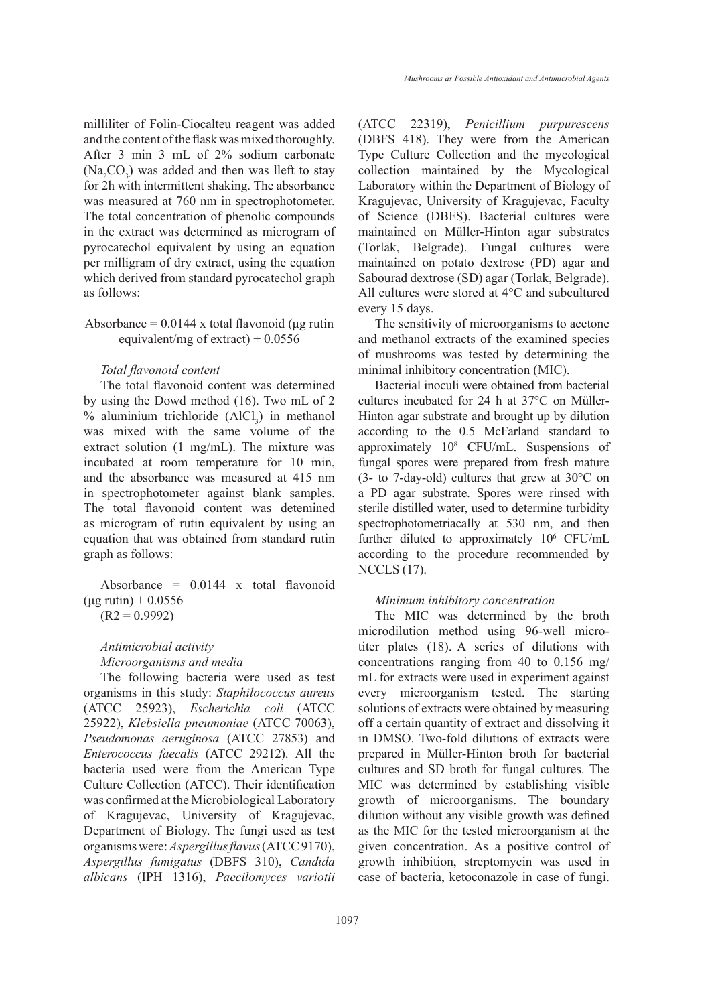milliliter of Folin-Ciocalteu reagent was added and the content of the flask was mixed thoroughly. After 3 min 3 mL of 2% sodium carbonate  $(Na<sub>2</sub>CO<sub>3</sub>)$  was added and then was lleft to stay for 2h with intermittent shaking. The absorbance was measured at 760 nm in spectrophotometer. The total concentration of phenolic compounds in the extract was determined as microgram of pyrocatechol equivalent by using an equation per milligram of dry extract, using the equation which derived from standard pyrocatechol graph as follows:

Absorbance =  $0.0144$  x total flavonoid (μg rutin equivalent/mg of extract) +  $0.0556$ 

### *Total flavonoid content*

The total flavonoid content was determined by using the Dowd method (16). Two mL of 2 % aluminium trichloride  $(AICl_3)$  in methanol was mixed with the same volume of the extract solution (1 mg/mL). The mixture was incubated at room temperature for 10 min, and the absorbance was measured at 415 nm in spectrophotometer against blank samples. The total flavonoid content was detemined as microgram of rutin equivalent by using an equation that was obtained from standard rutin graph as follows:

Absorbance =  $0.0144$  x total flavonoid  $(\mu$ g rutin) + 0.0556  $(R2 = 0.9992)$ 

# *Antimicrobial activity Microorganisms and media*

The following bacteria were used as test organisms in this study: *Staphilococcus aureus*  (ATCC 25923), *Escherichia coli* (ATCC 25922), *Klebsiella pneumoniae* (ATCC 70063), *Pseudomonas aeruginosa* (ATCC 27853) and *Enterococcus faecalis* (ATCC 29212). All the bacteria used were from the American Type Culture Collection (ATCC). Their identification was confirmed at the Microbiological Laboratory of Kragujevac, University of Kragujevac, Department of Biology. The fungi used as test organisms were: *Aspergillus flavus* (ATCC 9170), *Aspergillus fumigatus* (DBFS 310), *Candida albicans* (IPH 1316), *Paecilomyces variotii* (ATCC 22319), *Penicillium purpurescens* (DBFS 418). They were from the American Type Culture Collection and the mycological collection maintained by the Mycological Laboratory within the Department of Biology of Kragujevac, University of Kragujevac, Faculty of Science (DBFS). Bacterial cultures were maintained on Müller-Hinton agar substrates (Torlak, Belgrade). Fungal cultures were maintained on potato dextrose (PD) agar and Sabourad dextrose (SD) agar (Torlak, Belgrade). All cultures were stored at 4°C and subcultured every 15 days.

The sensitivity of microorganisms to acetone and methanol extracts of the examined species of mushrooms was tested by determining the minimal inhibitory concentration (MIC).

Bacterial inoculi were obtained from bacterial cultures incubated for 24 h at 37°C on Müller-Hinton agar substrate and brought up by dilution according to the 0.5 McFarland standard to approximately 108 CFU/mL. Suspensions of fungal spores were prepared from fresh mature (3- to 7-day-old) cultures that grew at 30°C on a PD agar substrate. Spores were rinsed with sterile distilled water, used to determine turbidity spectrophotometriacally at 530 nm, and then further diluted to approximately 10<sup>6</sup> CFU/mL according to the procedure recommended by NCCLS (17).

### *Minimum inhibitory concentration*

The MIC was determined by the broth microdilution method using 96-well microtiter plates (18). A series of dilutions with concentrations ranging from 40 to 0.156 mg/ mL for extracts were used in experiment against every microorganism tested. The starting solutions of extracts were obtained by measuring off a certain quantity of extract and dissolving it in DMSO. Two-fold dilutions of extracts were prepared in Müller-Hinton broth for bacterial cultures and SD broth for fungal cultures. The MIC was determined by establishing visible growth of microorganisms. The boundary dilution without any visible growth was defined as the MIC for the tested microorganism at the given concentration. As a positive control of growth inhibition, streptomycin was used in case of bacteria, ketoconazole in case of fungi.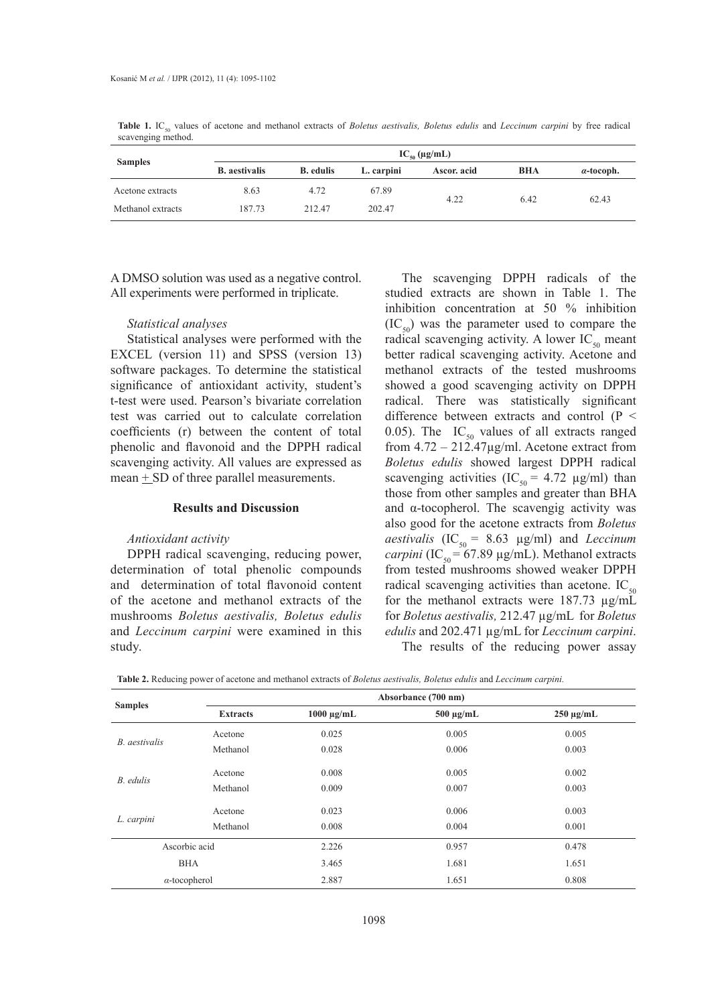Table 1. IC<sub>50</sub> values of acetone and methanol extracts of *Boletus aestivalis, Boletus edulis* and *Leccinum carpini* by free radical scavenging method.

| <b>Samples</b>    | $IC_{50} (\mu g/mL)$ |                  |            |             |            |                   |  |
|-------------------|----------------------|------------------|------------|-------------|------------|-------------------|--|
|                   | <b>B.</b> aestivalis | <b>B.</b> edulis | L. carpini | Ascor. acid | <b>BHA</b> | $\alpha$ -tocoph. |  |
| Acetone extracts  | 8.63                 | 4.72             | 67.89      | 4.22        | 6.42       | 62.43             |  |
| Methanol extracts | 187.73               | 212.47           | 202.47     |             |            |                   |  |

A DMSO solution was used as a negative control. All experiments were performed in triplicate.

### *Statistical analyses*

Statistical analyses were performed with the EXCEL (version 11) and SPSS (version 13) software packages. To determine the statistical significance of antioxidant activity, student's t-test were used. Pearson's bivariate correlation test was carried out to calculate correlation coefficients (r) between the content of total phenolic and flavonoid and the DPPH radical scavenging activity. All values are expressed as mean  $\pm$  SD of three parallel measurements.

### **Results and Discussion**

### *Antioxidant activity*

DPPH radical scavenging, reducing power, determination of total phenolic compounds and determination of total flavonoid content of the acetone and methanol extracts of the mushrooms *Boletus aestivalis, Boletus edulis*  and *Leccinum carpini* were examined in this study.

The scavenging DPPH radicals of the studied extracts are shown in Table 1. The inhibition concentration at 50 % inhibition  $(IC_{50})$  was the parameter used to compare the radical scavenging activity. A lower  $IC_{50}$  meant better radical scavenging activity. Acetone and methanol extracts of the tested mushrooms showed a good scavenging activity on DPPH radical. There was statistically significant difference between extracts and control (P < 0.05). The  $IC_{50}$  values of all extracts ranged from  $4.72 - 212.47 \mu g/ml$ . Acetone extract from *Boletus edulis* showed largest DPPH radical scavenging activities (IC<sub>50</sub> = 4.72  $\mu$ g/ml) than those from other samples and greater than BHA and  $\alpha$ -tocopherol. The scavengig activity was also good for the acetone extracts from *Boletus aestivalis*  $(IC_{50} = 8.63 \text{ µg/ml})$  and *Leccinum*  $carpini$  (IC<sub>50</sub> = 67.89  $\mu$ g/mL). Methanol extracts from tested mushrooms showed weaker DPPH radical scavenging activities than acetone. IC $_{50}$ for the methanol extracts were 187.73 µg/mL for *Boletus aestivalis,* 212.47 µg/mL for *Boletus edulis* and 202.471 µg/mL for *Leccinum carpini*. The results of the reducing power assay

| Table 2. Reducing power of acetone and methanol extracts of Boletus aestivalis, Boletus edulis and Leccinum carpini. |
|----------------------------------------------------------------------------------------------------------------------|
|----------------------------------------------------------------------------------------------------------------------|

|                      |                 | Absorbance (700 nm) |                |                |  |  |  |
|----------------------|-----------------|---------------------|----------------|----------------|--|--|--|
| <b>Samples</b>       | <b>Extracts</b> | $1000 \mu g/mL$     | $500 \mu g/mL$ | $250 \mu g/mL$ |  |  |  |
| B. aestivalis        | Acetone         | 0.025               | 0.005          | 0.005          |  |  |  |
|                      | Methanol        | 0.028               | 0.006          | 0.003          |  |  |  |
| B. edulis            | Acetone         | 0.008               | 0.005          | 0.002          |  |  |  |
|                      | Methanol        | 0.009               | 0.007          | 0.003          |  |  |  |
| L. carpini           | Acetone         | 0.023               | 0.006          | 0.003          |  |  |  |
|                      | Methanol        | 0.008               | 0.004          | 0.001          |  |  |  |
| Ascorbic acid        |                 | 2.226<br>0.957      |                | 0.478          |  |  |  |
| <b>BHA</b>           |                 | 3.465               | 1.681          | 1.651          |  |  |  |
| $\alpha$ -tocopherol |                 | 2.887               | 1.651          | 0.808          |  |  |  |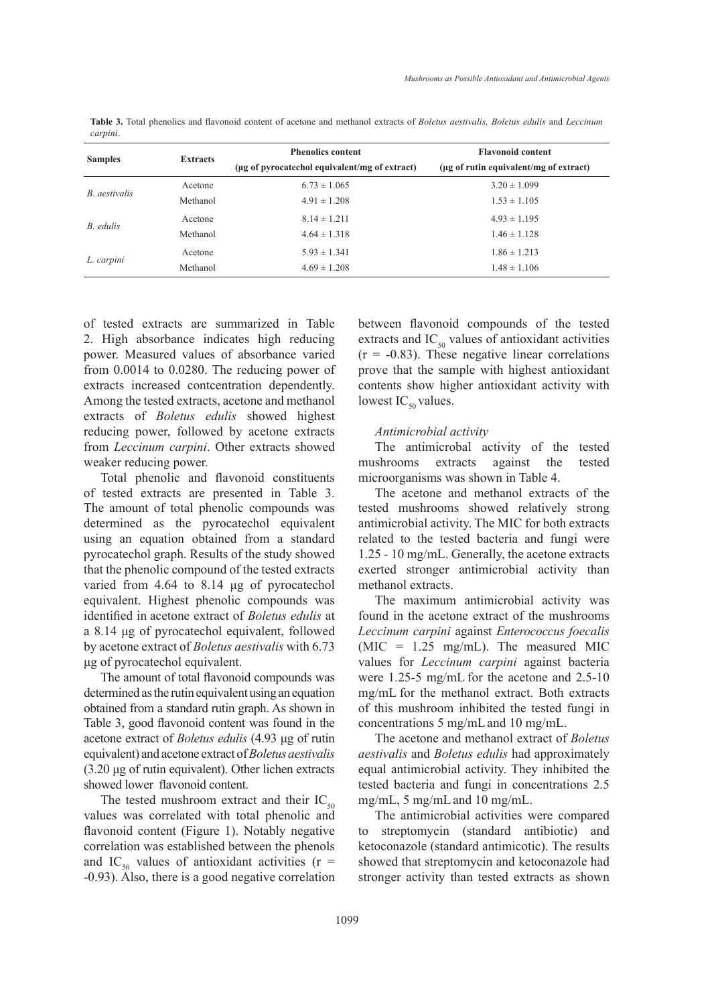**Table 3.** Total phenolics and flavonoid content of acetone and methanol extracts of *Boletus aestivalis, Boletus edulis* and *Leccinum carpini*.

| <b>Samples</b> | <b>Extracts</b> | <b>Phenolics content</b>                      | <b>Flavonoid content</b>               |  |  |
|----------------|-----------------|-----------------------------------------------|----------------------------------------|--|--|
|                |                 | (µg of pyrocatechol equivalent/mg of extract) | (µg of rutin equivalent/mg of extract) |  |  |
| B. aestivalis  | Acetone         | $6.73 \pm 1.065$                              | $3.20 \pm 1.099$                       |  |  |
|                | Methanol        | $4.91 \pm 1.208$                              | $1.53 \pm 1.105$                       |  |  |
| B. edulis      | Acetone         | $8.14 \pm 1.211$                              | $4.93 \pm 1.195$                       |  |  |
|                | Methanol        | $4.64 \pm 1.318$                              | $1.46 \pm 1.128$                       |  |  |
| L. carpini     | Acetone         | $5.93 \pm 1.341$                              | $1.86 \pm 1.213$                       |  |  |
|                | Methanol        | $4.69 \pm 1.208$                              | $1.48 \pm 1.106$                       |  |  |

of tested extracts are summarized in Table 2. High absorbance indicates high reducing power. Measured values of absorbance varied from 0.0014 to 0.0280. The reducing power of extracts increased contcentration dependently. Among the tested extracts, acetone and methanol extracts of *Boletus edulis* showed highest reducing power, followed by acetone extracts from *Leccinum carpini*. Other extracts showed weaker reducing power.

Total phenolic and flavonoid constituents of tested extracts are presented in Table 3. The amount of total phenolic compounds was determined as the pyrocatechol equivalent using an equation obtained from a standard pyrocatechol graph. Results of the study showed that the phenolic compound of the tested extracts varied from 4.64 to 8.14 μg of pyrocatechol equivalent. Highest phenolic compounds was identified in acetone extract of *Boletus edulis* at a 8.14 μg of pyrocatechol equivalent, followed by acetone extract of *Boletus aestivalis* with 6.73 μg of pyrocatechol equivalent.

The amount of total flavonoid compounds was determined as the rutin equivalent using an equation obtained from a standard rutin graph. As shown in Table 3, good flavonoid content was found in the acetone extract of *Boletus edulis* (4.93 μg of rutin equivalent) and acetone extract of *Boletus aestivalis*  (3.20 μg of rutin equivalent). Other lichen extracts showed lower flavonoid content.

The tested mushroom extract and their  $IC_{50}$ values was correlated with total phenolic and flavonoid content (Figure 1). Notably negative correlation was established between the phenols and IC<sub>50</sub> values of antioxidant activities ( $r =$ -0.93). Also, there is a good negative correlation between flavonoid compounds of the tested extracts and  $IC_{50}$  values of antioxidant activities  $(r = -0.83)$ . These negative linear correlations prove that the sample with highest antioxidant contents show higher antioxidant activity with lowest  $IC_{50}$  values.

### *Antimicrobial activity*

The antimicrobal activity of the tested mushrooms extracts against the tested microorganisms was shown in Table 4.

The acetone and methanol extracts of the tested mushrooms showed relatively strong antimicrobial activity. The MIC for both extracts related to the tested bacteria and fungi were 1.25 - 10 mg/mL. Generally, the acetone extracts exerted stronger antimicrobial activity than methanol extracts.

The maximum antimicrobial activity was found in the acetone extract of the mushrooms *Leccinum carpini* against *Enterococcus foecalis*  (MIC = 1.25 mg/mL). The measured MIC values for *Leccinum carpini* against bacteria were 1.25-5 mg/mL for the acetone and 2.5-10 mg/mL for the methanol extract. Both extracts of this mushroom inhibited the tested fungi in concentrations 5 mg/mLand 10 mg/mL.

The acetone and methanol extract of *Boletus aestivalis* and *Boletus edulis* had approximately equal antimicrobial activity. They inhibited the tested bacteria and fungi in concentrations 2.5 mg/mL, 5 mg/mLand 10 mg/mL.

The antimicrobial activities were compared to streptomycin (standard antibiotic) and ketoconazole (standard antimicotic). The results showed that streptomycin and ketoconazole had stronger activity than tested extracts as shown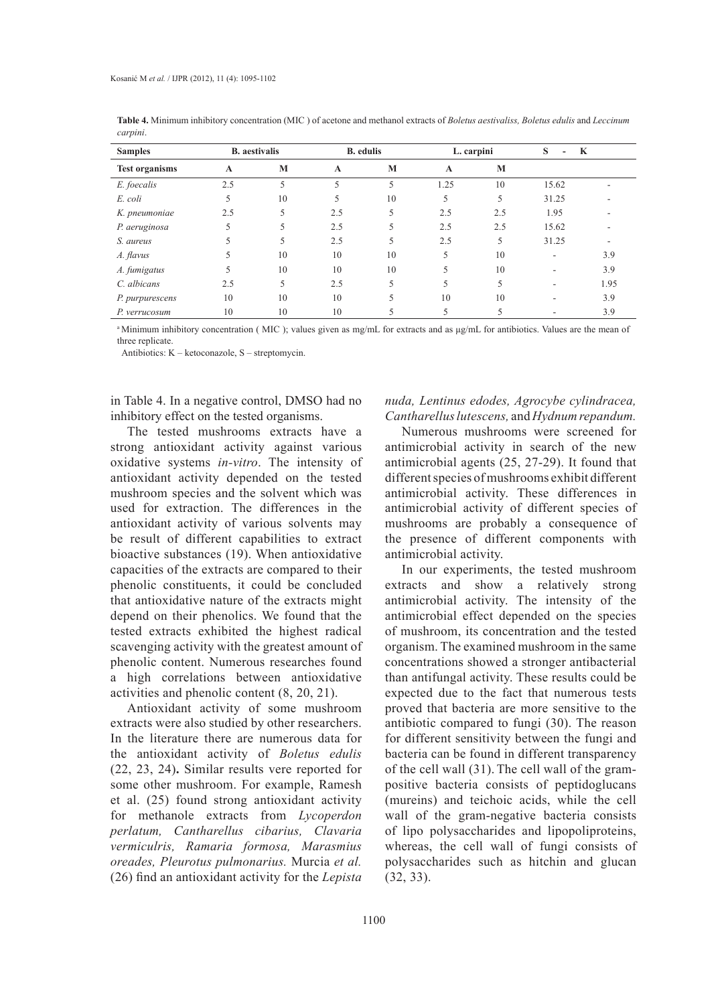| <b>Samples</b>        |              | <b>B.</b> aestivalis |              | <b>B.</b> edulis |      | L. carpini | S<br>$\overline{\phantom{a}}$ | K    |
|-----------------------|--------------|----------------------|--------------|------------------|------|------------|-------------------------------|------|
| <b>Test organisms</b> | $\mathbf{A}$ | M                    | $\mathbf{A}$ | M                | A    | M          |                               |      |
| E. foecalis           | 2.5          | 5                    | 5            | 5                | 1.25 | 10         | 15.62                         |      |
| E. coli               | 5            | 10                   | 5            | 10               | 5    | 5          | 31.25                         |      |
| K. pneumoniae         | 2.5          | 5                    | 2.5          | 5                | 2.5  | 2.5        | 1.95                          |      |
| P. aeruginosa         | 5            | 5                    | 2.5          | 5                | 2.5  | 2.5        | 15.62                         |      |
| S. aureus             | 5            | 5                    | 2.5          | 5                | 2.5  | 5          | 31.25                         |      |
| A. flavus             | 5            | 10                   | 10           | 10               | 5    | 10         | ۰                             | 3.9  |
| A. fumigatus          | 5            | 10                   | 10           | 10               | 5    | 10         | ۰                             | 3.9  |
| C. albicans           | 2.5          | 5                    | 2.5          | 5                | 5    | 5          | ۰                             | 1.95 |
| P. purpurescens       | 10           | 10                   | 10           | 5                | 10   | 10         | -                             | 3.9  |
| P. verrucosum         | 10           | 10                   | 10           |                  | 5    |            |                               | 3.9  |

**Table 4.** Minimum inhibitory concentration (MIC ) of acetone and methanol extracts of *Boletus aestivaliss, Boletus edulis* and *Leccinum carpini*.

a Minimum inhibitory concentration (MIC); values given as mg/mL for extracts and as μg/mL for antibiotics. Values are the mean of three replicate.

Antibiotics: K – ketoconazole, S – streptomycin.

in Table 4. In a negative control, DMSO had no inhibitory effect on the tested organisms.

The tested mushrooms extracts have a strong antioxidant activity against various oxidative systems *in-vitro*. The intensity of antioxidant activity depended on the tested mushroom species and the solvent which was used for extraction. The differences in the antioxidant activity of various solvents may be result of different capabilities to extract bioactive substances (19). When antioxidative capacities of the extracts are compared to their phenolic constituents, it could be concluded that antioxidative nature of the extracts might depend on their phenolics. We found that the tested extracts exhibited the highest radical scavenging activity with the greatest amount of phenolic content. Numerous researches found a high correlations between antioxidative activities and phenolic content (8, 20, 21).

Antioxidant activity of some mushroom extracts were also studied by other researchers. In the literature there are numerous data for the antioxidant activity of *Boletus edulis*  (22, 23, 24)**.** Similar results vere reported for some other mushroom. For example, Ramesh et al. (25) found strong antioxidant activity for methanole extracts from *Lycoperdon perlatum, Cantharellus cibarius, Clavaria vermiculris, Ramaria formosa, Marasmius oreades, Pleurotus pulmonarius.* Murcia *et al.* (26) find an antioxidant activity for the *Lepista* 

### *nuda, Lentinus edodes, Agrocybe cylindracea, Cantharellus lutescens,* and *Hydnum repandum.*

Numerous mushrooms were screened for antimicrobial activity in search of the new antimicrobial agents (25, 27-29). It found that different species of mushrooms exhibit different antimicrobial activity. These differences in antimicrobial activity of different species of mushrooms are probably a consequence of the presence of different components with antimicrobial activity.

In our experiments, the tested mushroom extracts and show a relatively strong antimicrobial activity. The intensity of the antimicrobial effect depended on the species of mushroom, its concentration and the tested organism. The examined mushroom in the same concentrations showed a stronger antibacterial than antifungal activity. These results could be expected due to the fact that numerous tests proved that bacteria are more sensitive to the antibiotic compared to fungi (30). The reason for different sensitivity between the fungi and bacteria can be found in different transparency of the cell wall (31). The cell wall of the grampositive bacteria consists of peptidoglucans (mureins) and teichoic acids, while the cell wall of the gram-negative bacteria consists of lipo polysaccharides and lipopoliproteins, whereas, the cell wall of fungi consists of polysaccharides such as hitchin and glucan (32, 33).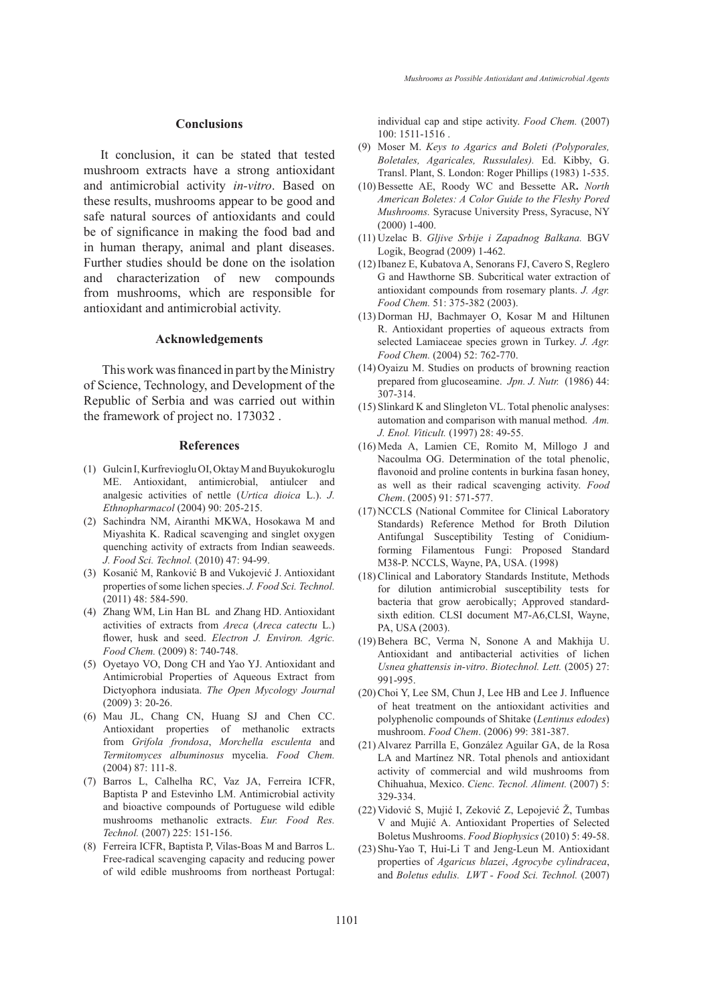### **Conclusions**

It conclusion, it can be stated that tested mushroom extracts have a strong antioxidant and antimicrobial activity *in-vitro*. Based on these results, mushrooms appear to be good and safe natural sources of antioxidants and could be of significance in making the food bad and in human therapy, animal and plant diseases. Further studies should be done on the isolation and characterization of new compounds from mushrooms, which are responsible for antioxidant and antimicrobial activity.

### **Acknowledgements**

 This work was financed in part by the Ministry of Science, Technology, and Development of the Republic of Serbia and was carried out within the framework of project no. 173032 .

#### **References**

- (1) Gulcin I, Kurfrevioglu OI, Oktay M and Buyukokuroglu ME. Antioxidant, antimicrobial, antiulcer and analgesic activities of nettle (*Urtica dioica* L.). *J. Ethnopharmacol* (2004) 90: 205-215.
- (2) Sachindra NM, Airanthi MKWA, Hosokawa M and Miyashita K. Radical scavenging and singlet oxygen quenching activity of extracts from Indian seaweeds. *J. Food Sci. Technol.* (2010) 47: 94-99.
- (3) Kosanić M, Ranković B and Vukojević J. Antioxidant properties of some lichen species. *J. Food Sci. Technol.* (2011) 48: 584-590.
- Zhang WM, Lin Han BL and Zhang HD. Antioxidant (4) activities of extracts from *Areca* (*Areca catectu* L.) flower, husk and seed. *Electron J. Environ. Agric. Food Chem.* (2009) 8: 740-748.
- (5) Oyetayo VO, Dong CH and Yao YJ. Antioxidant and Antimicrobial Properties of Aqueous Extract from Dictyophora indusiata. *The Open Mycology Journal*  (2009) 3: 20-26.
- Mau JL, Chang CN, Huang SJ and Chen CC. (6) Antioxidant properties of methanolic extracts from *Grifola frondosa*, *Morchella esculenta* and *Termitomyces albuminosus* mycelia. *Food Chem.* (2004) 87: 111-8.
- Barros L, Calhelha RC, Vaz JA, Ferreira ICFR, (7) Baptista P and Estevinho LM. Antimicrobial activity and bioactive compounds of Portuguese wild edible mushrooms methanolic extracts. *Eur. Food Res. Technol.* (2007) 225: 151-156.
- Ferreira ICFR, Baptista P, Vilas-Boas M and Barros L. (8) Free-radical scavenging capacity and reducing power of wild edible mushrooms from northeast Portugal:

individual cap and stipe activity. *Food Chem.* (2007) 100: 1511-1516 .

- Moser M. *Keys to Agarics and Boleti (Polyporales,*  (9) *Boletales, Agaricales, Russulales).* Ed. Kibby, G. Transl. Plant, S. London: Roger Phillips (1983) 1-535.
- Bessette AE, Roody WC and Bessette AR**.** *North*  (10) *American Boletes: A Color Guide to the Fleshy Pored Mushrooms.* Syracuse University Press, Syracuse, NY (2000) 1-400.
- Uzelac B. *Gljive Srbije i Zapadnog Balkana.* BGV (11) Logik, Beograd (2009) 1-462.
- (12) Ibanez E, Kubatova A, Senorans FJ, Cavero S, Reglero G and Hawthorne SB. Subcritical water extraction of antioxidant compounds from rosemary plants. *J. Agr. Food Chem.* 51: 375-382 (2003).
- $(13)$  Dorman HJ, Bachmayer O, Kosar M and Hiltunen R. Antioxidant properties of aqueous extracts from selected Lamiaceae species grown in Turkey. *J. Agr. Food Chem.* (2004) 52: 762-770.
- $(14)$  Oyaizu M. Studies on products of browning reaction prepared from glucoseamine. *Jpn. J. Nutr.* (1986) 44: 307-314.
- (15) Slinkard K and Slingleton VL. Total phenolic analyses: automation and comparison with manual method. *Am. J. Enol. Viticult.* (1997) 28: 49-55.
- $(16)$  Meda A, Lamien CE, Romito M, Millogo J and Nacoulma OG. Determination of the total phenolic, flavonoid and proline contents in burkina fasan honey, as well as their radical scavenging activity. *Food Chem*. (2005) 91: 571-577.
- (17) NCCLS (National Commitee for Clinical Laboratory Standards) Reference Method for Broth Dilution Antifungal Susceptibility Testing of Conidiumforming Filamentous Fungi: Proposed Standard M38-P. NCCLS, Wayne, PA, USA. (1998)
- (18) Clinical and Laboratory Standards Institute, Methods for dilution antimicrobial susceptibility tests for bacteria that grow aerobically; Approved standardsixth edition. CLSI document M7-A6,CLSI, Wayne, PA, USA (2003).
- (19) Behera BC, Verma N, Sonone A and Makhija U. Antioxidant and antibacterial activities of lichen *Usnea ghattensis in-vitro*. *Biotechnol. Lett.* (2005) 27: 991-995.
- $(20)$  Choi Y, Lee SM, Chun J, Lee HB and Lee J. Influence of heat treatment on the antioxidant activities and polyphenolic compounds of Shitake (*Lentinus edodes*) mushroom. *Food Chem*. (2006) 99: 381-387.
- Alvarez Parrilla E, González Aguilar GA, de la Rosa (21) LA and Martínez NR. Total phenols and antioxidant activity of commercial and wild mushrooms from Chihuahua, Mexico. *Cienc. Tecnol. Aliment.* (2007) 5: 329-334.
- (22) Vidović S, Mujić I, Zeković Z, Lepojević Z, Tumbas V and Mujić A. Antioxidant Properties of Selected Boletus Mushrooms. *Food Biophysics* (2010) 5: 49-58.
- (23) Shu-Yao T, Hui-Li T and Jeng-Leun M. Antioxidant properties of *Agaricus blazei*, *Agrocybe cylindracea*, and *Boletus edulis. LWT - Food Sci. Technol.* (2007)